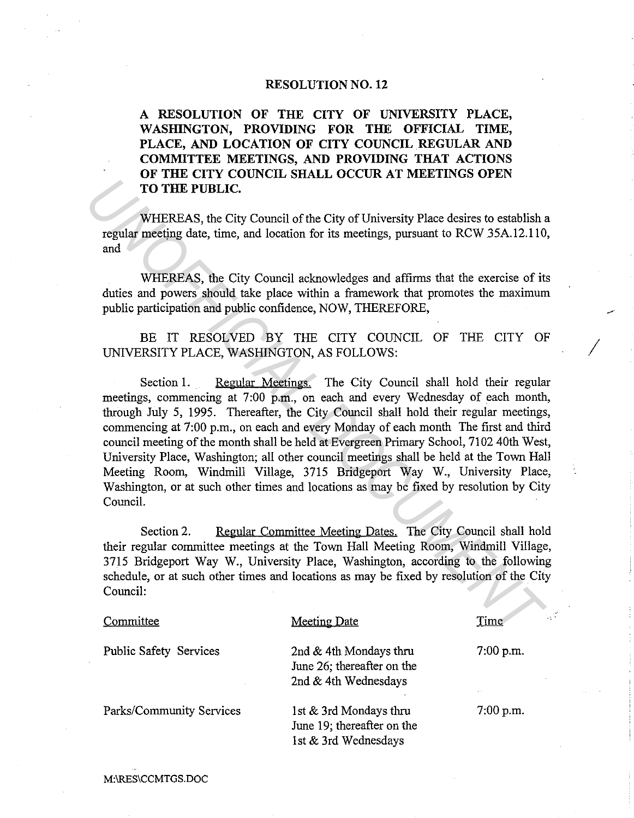## **RESOLUTION NO. 12**

**A RESOLUTION OF THE CITY OF UNIVERSITY PLACE, WASHINGTON, PROVIDING FOR THE OFFICIAL TIME, PLACE, AND LOCATION OF CITY COUNCIL REGULAR AND COMMITTEE MEETINGS, AND PROVIDING THAT ACTIONS OF THE CITY COUNCIL SHALL OCCUR AT MEETINGS OPEN TO THE PUBLIC.** 

WHEREAS, the City Council of the City of University Place desires to establish a regular meeting date, time, and location for its meetings, pursuant to RCW 35A.12.110, and

WHEREAS, the City Council acknowledges and affirms that the exercise of its duties and powers should take place within a framework that promotes the maximum public participation and public confidence, NOW, THEREFORE,

BE IT RESOLVED BY THE CITY COUNCIL OF THE CITY OF UNIVERSITY PLACE, WASHINGTON, AS FOLLOWS:

*/* 

Section 1. Regular Meetings. The City Council shall hold their regular meetings, commencing at 7:00 p.m., on each and every Wednesday of each month, through July 5, 1995. Thereafter, the City Council shall hold their regular meetings, commencing at 7:00 p.m., on each and every Monday of each month The first and third council meeting of the month shall be held at Evergreen Primary School, 7102 40th West, University Place, Washington; all other council meetings shall be held at the Town Hall Meeting Room, Windmill Village, 3715 Bridgeport Way W., University Place, Washington, or at such other times and locations as may be fixed by resolution by City Council. **TO THE PUBLIC.**<br> **WHEREAS**, the City Council of the City of University Place desires to establish regular meeting date, time, and location for its meetings, pursuant to RCW 35A.12.110<br>
and<br>
WHEREAS, the City Council ackno

Section 2. Regular Committee Meeting Dates. The City Council shall hold their regular committee meetings at the Town Hall Meeting Room, Windmill Village, 3715 Bridgeport Way W., University Place, Washington, according to the following schedule, or at such other times and locations as may be fixed by resolution of the City Council:

| Committee                     | <b>Meeting Date</b>                                                          | Time        |
|-------------------------------|------------------------------------------------------------------------------|-------------|
| <b>Public Safety Services</b> | 2nd & 4th Mondays thru<br>June 26; thereafter on the<br>2nd & 4th Wednesdays | $7:00$ p.m. |
| Parks/Community Services      | 1st & 3rd Mondays thru<br>June 19; thereafter on the<br>1st & 3rd Wednesdays | $7:00$ p.m. |